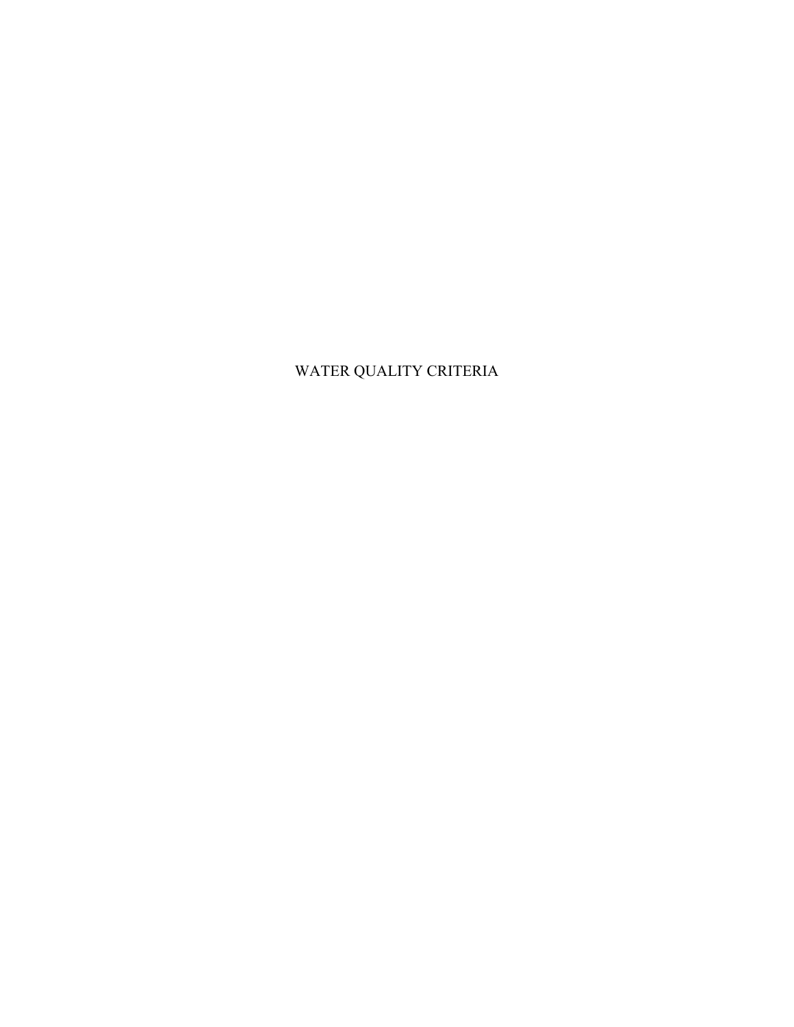# WATER QUALITY CRITERIA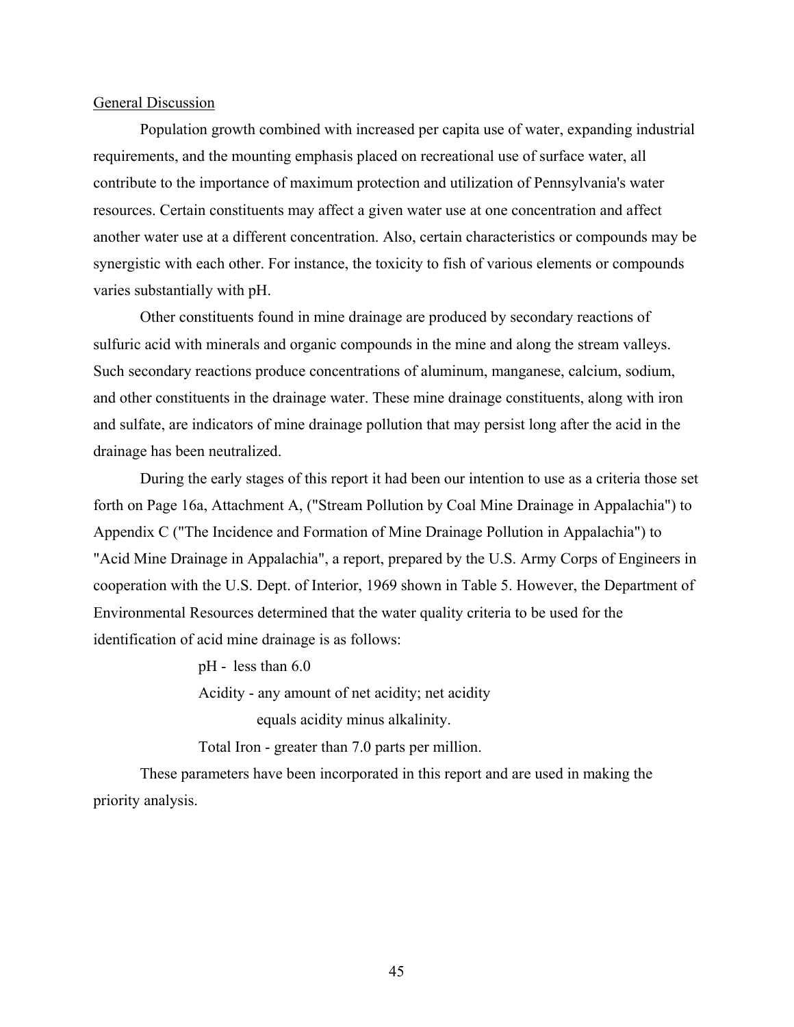#### General Discussion

Population growth combined with increased per capita use of water, expanding industrial requirements, and the mounting emphasis placed on recreational use of surface water, all contribute to the importance of maximum protection and utilization of Pennsylvania's water resources. Certain constituents may affect a given water use at one concentration and affect another water use at a different concentration. Also, certain characteristics or compounds may be synergistic with each other. For instance, the toxicity to fish of various elements or compounds varies substantially with pH.

Other constituents found in mine drainage are produced by secondary reactions of sulfuric acid with minerals and organic compounds in the mine and along the stream valleys. Such secondary reactions produce concentrations of aluminum, manganese, calcium, sodium, and other constituents in the drainage water. These mine drainage constituents, along with iron and sulfate, are indicators of mine drainage pollution that may persist long after the acid in the drainage has been neutralized.

During the early stages of this report it had been our intention to use as a criteria those set forth on Page 16a, Attachment A, ("Stream Pollution by Coal Mine Drainage in Appalachia") to Appendix C ("The Incidence and Formation of Mine Drainage Pollution in Appalachia") to "Acid Mine Drainage in Appalachia", a report, prepared by the U.S. Army Corps of Engineers in cooperation with the U.S. Dept. of Interior, 1969 shown in Table 5. However, the Department of Environmental Resources determined that the water quality criteria to be used for the identification of acid mine drainage is as follows:

pH - less than 6.0

Acidity - any amount of net acidity; net acidity

equals acidity minus alkalinity.

Total Iron - greater than 7.0 parts per million.

These parameters have been incorporated in this report and are used in making the priority analysis.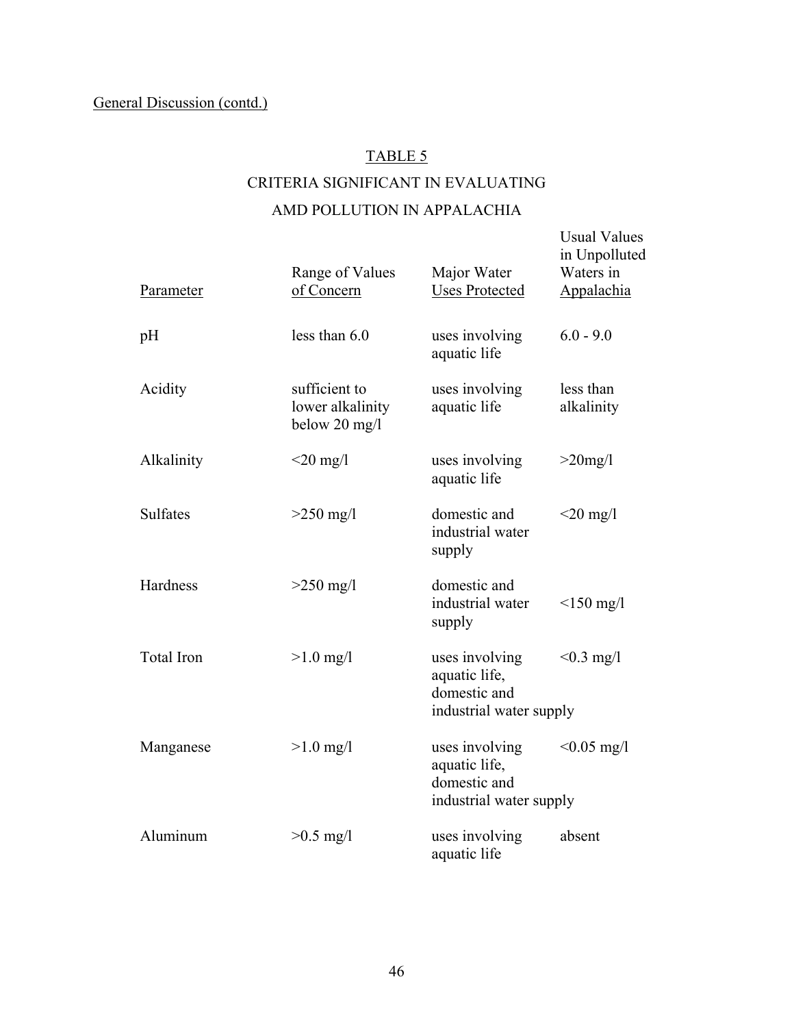#### TABLE 5

## CRITERIA SIGNIFICANT IN EVALUATING AMD POLLUTION IN APPALACHIA

Usual Values

# in Unpolluted Range of Values Major Water Waters in Parameter of Concern Uses Protected Appalachia pH less than 6.0 uses involving 6.0 - 9.0 aquatic life Acidity sufficient to uses involving less than lower alkalinity aquatic life alkalinity below 20 mg/l Alkalinity  $\langle 20 \text{ mg/l} \rangle$  uses involving  $>20 \text{ mg/l}$  aquatic life Sulfates  $>250 \text{ mg/l}$  domestic and  $<20 \text{ mg/l}$  industrial water supply Hardness  $>250$  mg/l domestic and industrial water <150 mg/l supply Total Iron  $>1.0$  mg/l uses involving  $< 0.3$  mg/l aquatic life, domestic and industrial water supply Manganese  $>1.0 \text{ mg/l}$  uses involving  $<0.05 \text{ mg/l}$  aquatic life, domestic and industrial water supply Aluminum  $>0.5$  mg/l uses involving absent aquatic life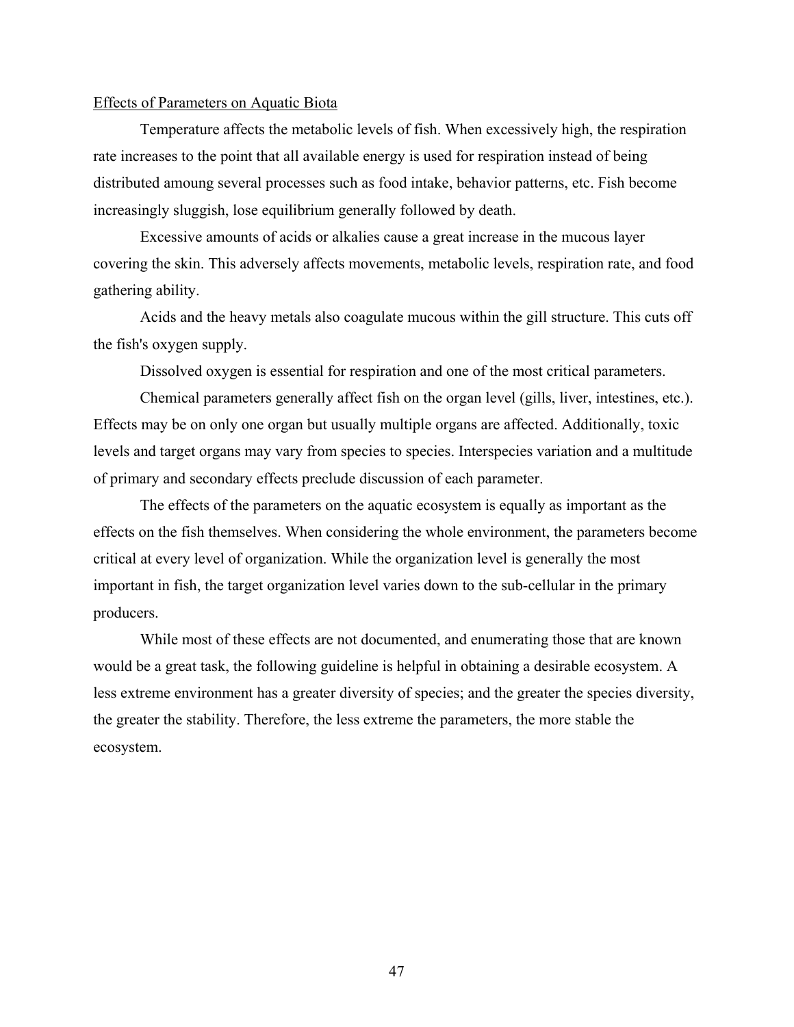#### Effects of Parameters on Aquatic Biota

Temperature affects the metabolic levels of fish. When excessively high, the respiration rate increases to the point that all available energy is used for respiration instead of being distributed amoung several processes such as food intake, behavior patterns, etc. Fish become increasingly sluggish, lose equilibrium generally followed by death.

Excessive amounts of acids or alkalies cause a great increase in the mucous layer covering the skin. This adversely affects movements, metabolic levels, respiration rate, and food gathering ability.

Acids and the heavy metals also coagulate mucous within the gill structure. This cuts off the fish's oxygen supply.

Dissolved oxygen is essential for respiration and one of the most critical parameters.

Chemical parameters generally affect fish on the organ level (gills, liver, intestines, etc.). Effects may be on only one organ but usually multiple organs are affected. Additionally, toxic levels and target organs may vary from species to species. Interspecies variation and a multitude of primary and secondary effects preclude discussion of each parameter.

The effects of the parameters on the aquatic ecosystem is equally as important as the effects on the fish themselves. When considering the whole environment, the parameters become critical at every level of organization. While the organization level is generally the most important in fish, the target organization level varies down to the sub-cellular in the primary producers.

While most of these effects are not documented, and enumerating those that are known would be a great task, the following guideline is helpful in obtaining a desirable ecosystem. A less extreme environment has a greater diversity of species; and the greater the species diversity, the greater the stability. Therefore, the less extreme the parameters, the more stable the ecosystem.

47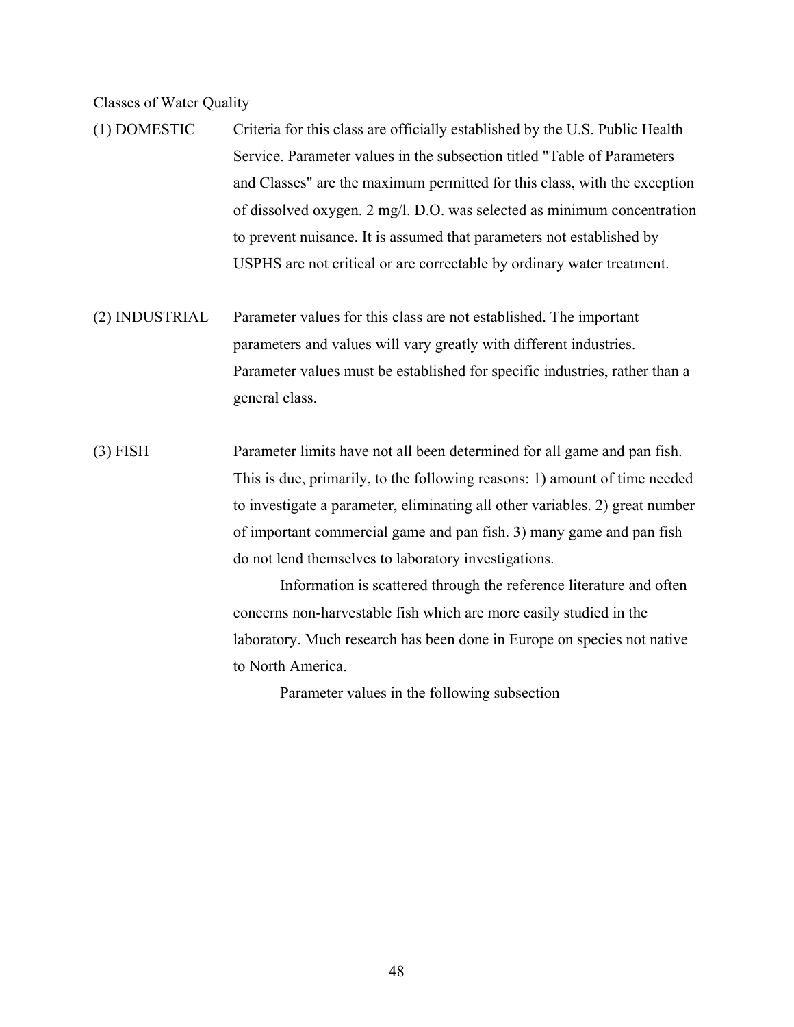#### Classes of Water Quality

- (1) DOMESTIC Criteria for this class are officially established by the U.S. Public Health Service. Parameter values in the subsection titled "Table of Parameters and Classes" are the maximum permitted for this class, with the exception of dissolved oxygen. 2 mg/l. D.O. was selected as minimum concentration to prevent nuisance. It is assumed that parameters not established by USPHS are not critical or are correctable by ordinary water treatment.
- (2) INDUSTRIAL Parameter values for this class are not established. The important parameters and values will vary greatly with different industries. Parameter values must be established for specific industries, rather than a general class.
- (3) FISH Parameter limits have not all been determined for all game and pan fish. This is due, primarily, to the following reasons: 1) amount of time needed to investigate a parameter, eliminating all other variables. 2) great number of important commercial game and pan fish. 3) many game and pan fish do not lend themselves to laboratory investigations.

 Information is scattered through the reference literature and often concerns non-harvestable fish which are more easily studied in the laboratory. Much research has been done in Europe on species not native to North America.

Parameter values in the following subsection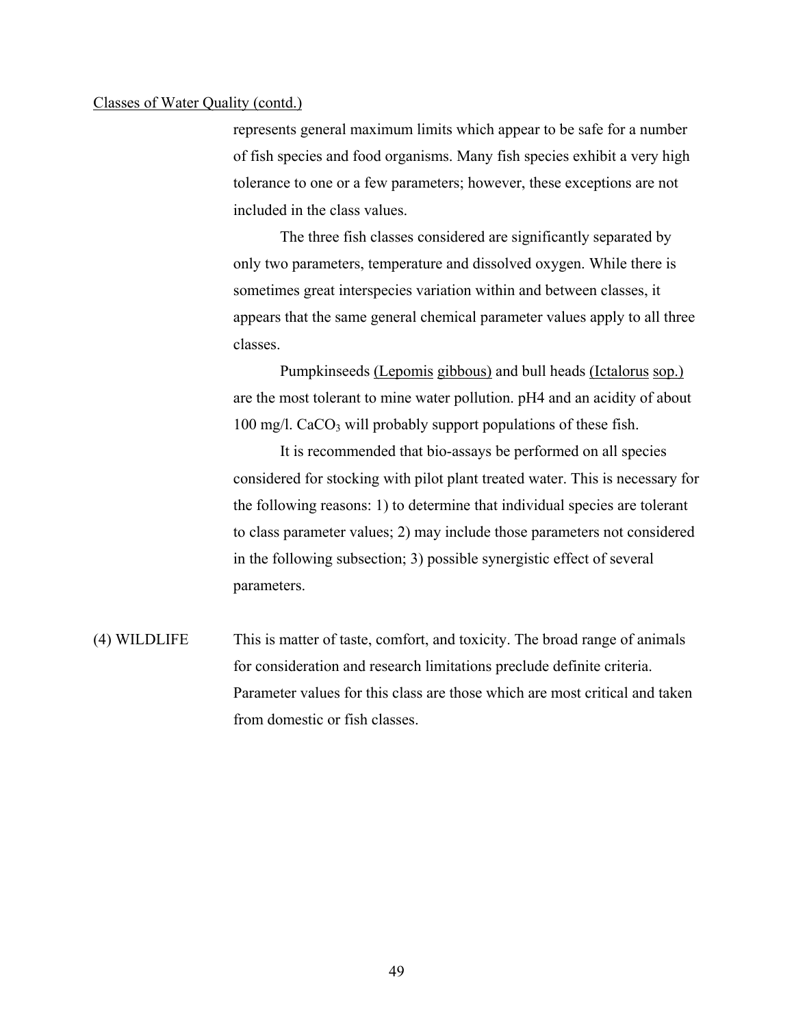#### Classes of Water Quality (contd.)

represents general maximum limits which appear to be safe for a number of fish species and food organisms. Many fish species exhibit a very high tolerance to one or a few parameters; however, these exceptions are not included in the class values.

The three fish classes considered are significantly separated by only two parameters, temperature and dissolved oxygen. While there is sometimes great interspecies variation within and between classes, it appears that the same general chemical parameter values apply to all three classes.

Pumpkinseeds (Lepomis gibbous) and bull heads (Ictalorus sop.) are the most tolerant to mine water pollution. pH4 and an acidity of about  $100 \text{ mg/l}$ . CaCO<sub>3</sub> will probably support populations of these fish.

It is recommended that bio-assays be performed on all species considered for stocking with pilot plant treated water. This is necessary for the following reasons: 1) to determine that individual species are tolerant to class parameter values; 2) may include those parameters not considered in the following subsection; 3) possible synergistic effect of several parameters.

(4) WILDLIFE This is matter of taste, comfort, and toxicity. The broad range of animals for consideration and research limitations preclude definite criteria. Parameter values for this class are those which are most critical and taken from domestic or fish classes.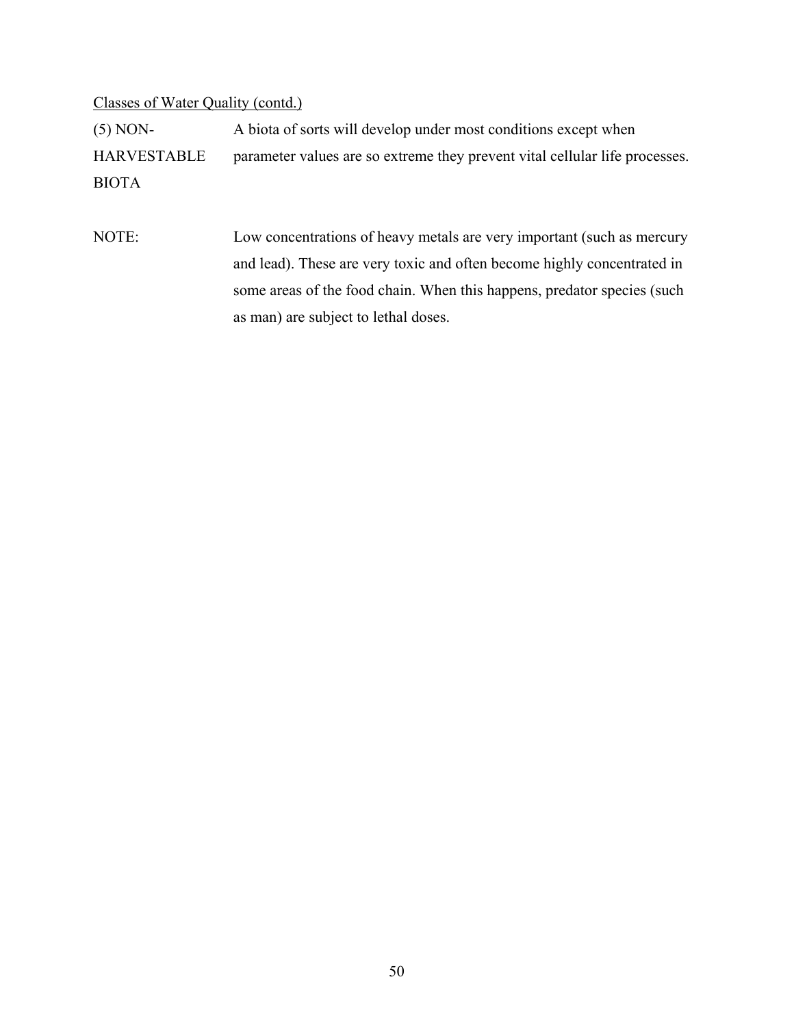#### Classes of Water Quality (contd.)

(5) NON- A biota of sorts will develop under most conditions except when HARVESTABLE parameter values are so extreme they prevent vital cellular life processes. BIOTA

NOTE: Low concentrations of heavy metals are very important (such as mercury and lead). These are very toxic and often become highly concentrated in some areas of the food chain. When this happens, predator species (such as man) are subject to lethal doses.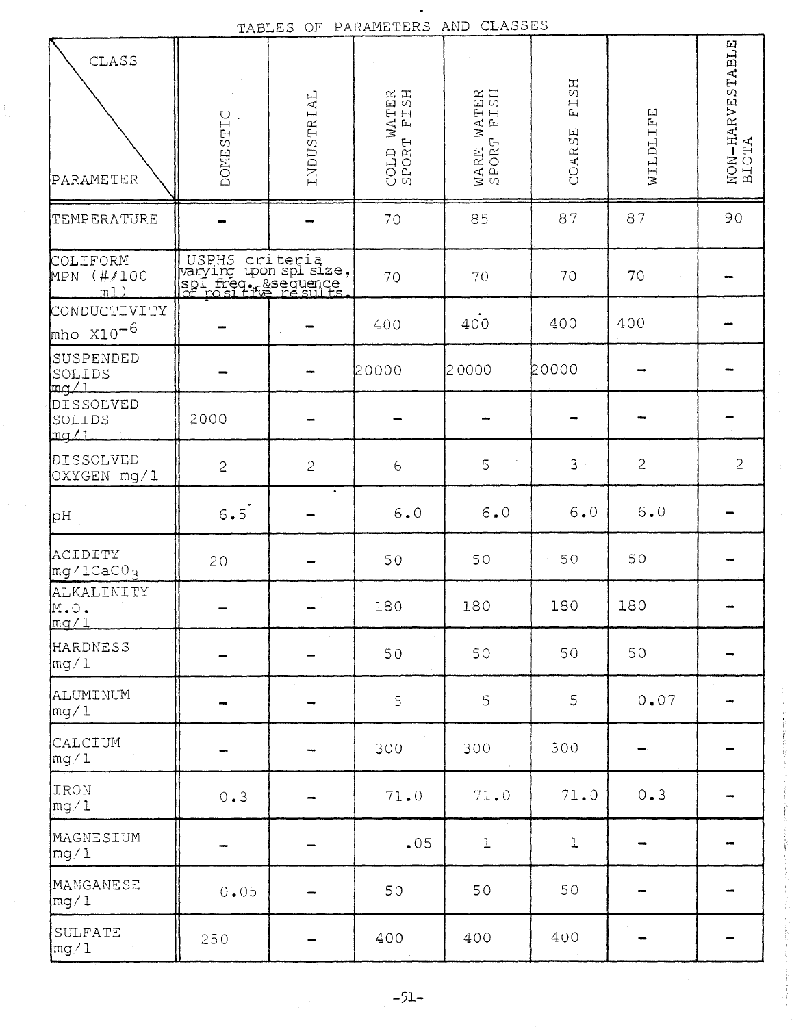| CLASS<br>PARAMETER                    | <b>DOMESTIC</b>                                                                          | INDUSTRIAL   | COLD WATER<br>SPORT FISH<br>COLD | WATER<br>P<br>F<br>L<br>S<br>H<br>WARM W<br>SPORT | FISH<br>COARSE | WILDLIFE       | NON-HARVESTABLE<br>BIOTA |
|---------------------------------------|------------------------------------------------------------------------------------------|--------------|----------------------------------|---------------------------------------------------|----------------|----------------|--------------------------|
| TEMPERATURE                           |                                                                                          |              | 70                               | 85                                                | 87             | 87             | 90                       |
| COLIFORM<br>(#/100<br>MPN<br>m1)      | USPHS criteria<br>warying upon spl size,<br>spl freq. & sequence<br>of positive results. |              | 70                               | 70                                                | 70             | 70             |                          |
| CONDUCTIVITY<br>$mho X10^{-6}$        |                                                                                          |              | 400                              | 400                                               | 400            | 400            |                          |
| SUSPENDED<br>SOLIDS<br>لمهسا          |                                                                                          |              | 20000                            | 20000                                             | 20000          |                |                          |
| DISSOLVED<br>SOLIDS<br>mg/L           | 2000                                                                                     |              |                                  |                                                   |                |                |                          |
| DISSOLVED<br>OXYGEN mg/1              | $\overline{c}$                                                                           | $\mathbf{c}$ | $\epsilon$                       | 5                                                 | 3              | $\overline{c}$ | $\overline{c}$           |
| pH                                    | 6.5                                                                                      |              | $6 \cdot 0$                      | $6 \cdot 0$                                       | $6 \bullet 0$  | $6.0$          |                          |
| ACIDITY<br>$mg/1$ CaC $0_3$           | 20                                                                                       |              | 50                               | 50                                                | 50             | 50             |                          |
| ALKALINITY<br>$M$ . $\circ$ .<br>mq/1 |                                                                                          |              | 180                              | 180                                               | 180            | 180            |                          |
| HARDNESS<br>$\lfloor mg/1 \rfloor$    |                                                                                          |              | 50                               | 50                                                | 50             | 50             |                          |
| ALUMINUM<br>$\lfloor mg/1 \rfloor$    |                                                                                          |              | 5                                | 5                                                 | 5              | 0.07           |                          |
| CALCIUM<br>mg/1                       |                                                                                          |              | 300                              | 300                                               | 300            |                |                          |
| IRON<br>mg/1                          | 0.3                                                                                      |              | 71.0                             | 71.0                                              | 71.0           | 0.3            |                          |
| MAGNESIUM<br>mg/1                     |                                                                                          |              | .05                              | $\mathbf{1}$                                      | $\mathbf 1$    |                |                          |
| MANGANESE<br>mg/1                     | 0.05                                                                                     |              | 50                               | 50                                                | 50             |                |                          |
| SULFATE<br>mg/1                       | 250                                                                                      |              | 400                              | 400                                               | 400            |                |                          |

TABLES OF PARAMETERS AND CLASSES

 $\hat{\mathcal{A}}$ 

 $\frac{1}{2}$ 

والمستورة والمواد  $-51-$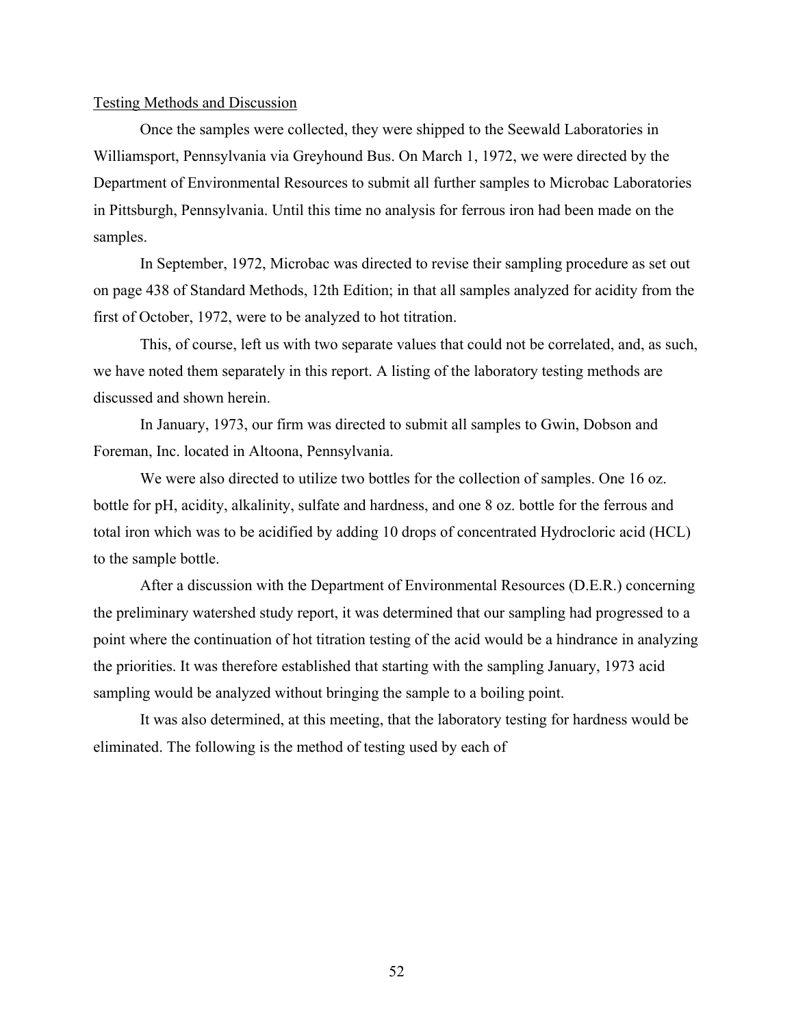#### Testing Methods and Discussion

Once the samples were collected, they were shipped to the Seewald Laboratories in Williamsport, Pennsylvania via Greyhound Bus. On March 1, 1972, we were directed by the Department of Environmental Resources to submit all further samples to Microbac Laboratories in Pittsburgh, Pennsylvania. Until this time no analysis for ferrous iron had been made on the samples.

In September, 1972, Microbac was directed to revise their sampling procedure as set out on page 438 of Standard Methods, 12th Edition; in that all samples analyzed for acidity from the first of October, 1972, were to be analyzed to hot titration.

This, of course, left us with two separate values that could not be correlated, and, as such, we have noted them separately in this report. A listing of the laboratory testing methods are discussed and shown herein.

In January, 1973, our firm was directed to submit all samples to Gwin, Dobson and Foreman, Inc. located in Altoona, Pennsylvania.

We were also directed to utilize two bottles for the collection of samples. One 16 oz. bottle for pH, acidity, alkalinity, sulfate and hardness, and one 8 oz. bottle for the ferrous and total iron which was to be acidified by adding 10 drops of concentrated Hydrocloric acid (HCL) to the sample bottle.

After a discussion with the Department of Environmental Resources (D.E.R.) concerning the preliminary watershed study report, it was determined that our sampling had progressed to a point where the continuation of hot titration testing of the acid would be a hindrance in analyzing the priorities. It was therefore established that starting with the sampling January, 1973 acid sampling would be analyzed without bringing the sample to a boiling point.

It was also determined, at this meeting, that the laboratory testing for hardness would be eliminated. The following is the method of testing used by each of

52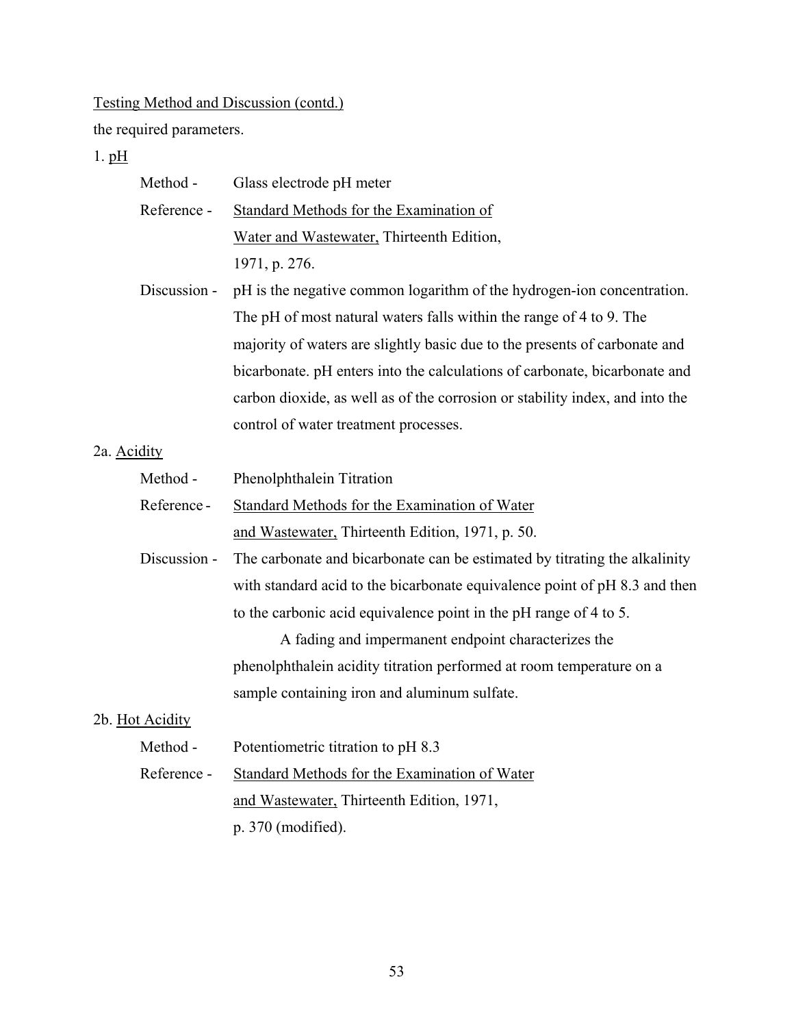the required parameters.

 $1. \underline{pH}$ 

| Method -        | Glass electrode pH meter                                                     |  |
|-----------------|------------------------------------------------------------------------------|--|
| Reference -     | Standard Methods for the Examination of                                      |  |
|                 | Water and Wastewater, Thirteenth Edition,                                    |  |
|                 | 1971, p. 276.                                                                |  |
| Discussion -    | pH is the negative common logarithm of the hydrogen-ion concentration.       |  |
|                 | The pH of most natural waters falls within the range of 4 to 9. The          |  |
|                 | majority of waters are slightly basic due to the presents of carbonate and   |  |
|                 | bicarbonate. pH enters into the calculations of carbonate, bicarbonate and   |  |
|                 | carbon dioxide, as well as of the corrosion or stability index, and into the |  |
|                 | control of water treatment processes.                                        |  |
| 2a. Acidity     |                                                                              |  |
| Method -        | Phenolphthalein Titration                                                    |  |
| Reference-      | Standard Methods for the Examination of Water                                |  |
|                 | and Wastewater, Thirteenth Edition, 1971, p. 50.                             |  |
| Discussion -    | The carbonate and bicarbonate can be estimated by titrating the alkalinity   |  |
|                 | with standard acid to the bicarbonate equivalence point of pH 8.3 and then   |  |
|                 | to the carbonic acid equivalence point in the pH range of 4 to 5.            |  |
|                 | A fading and impermanent endpoint characterizes the                          |  |
|                 | phenolphthalein acidity titration performed at room temperature on a         |  |
|                 | sample containing iron and aluminum sulfate.                                 |  |
| 2b. Hot Acidity |                                                                              |  |
| Method -        | Potentiometric titration to pH 8.3                                           |  |
| Reference -     | <b>Standard Methods for the Examination of Water</b>                         |  |
|                 | and Wastewater, Thirteenth Edition, 1971,                                    |  |
|                 | p. 370 (modified).                                                           |  |
|                 |                                                                              |  |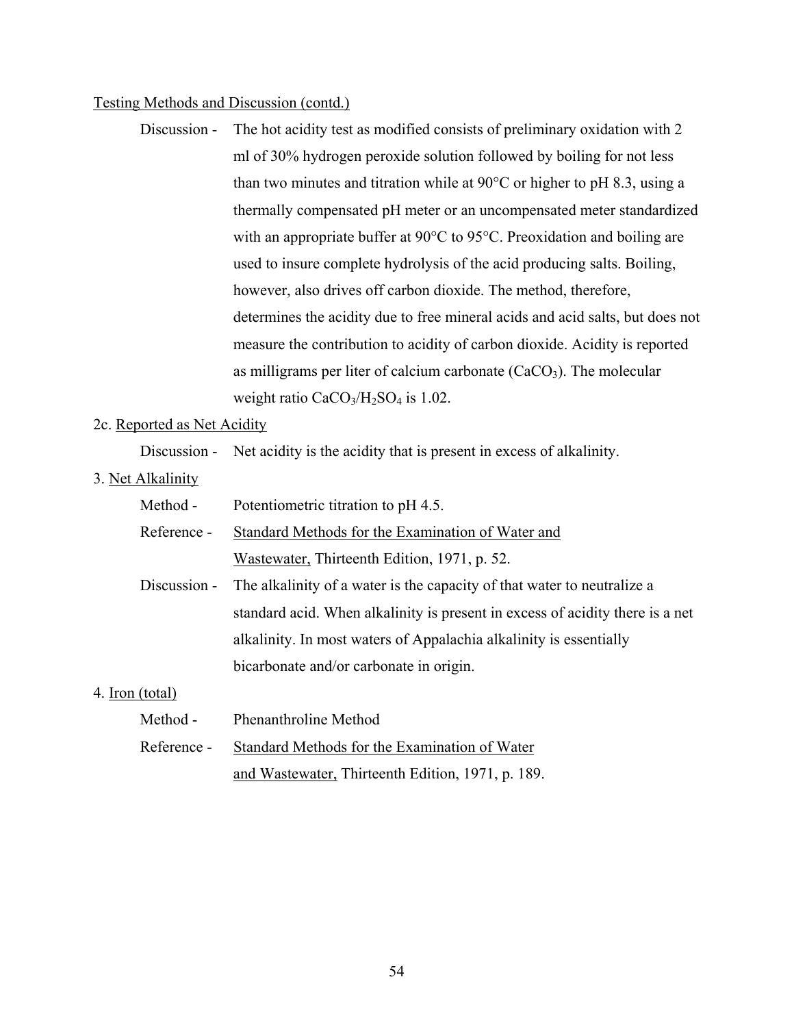Discussion - The hot acidity test as modified consists of preliminary oxidation with 2 ml of 30% hydrogen peroxide solution followed by boiling for not less than two minutes and titration while at 90°C or higher to pH 8.3, using a thermally compensated pH meter or an uncompensated meter standardized with an appropriate buffer at 90°C to 95°C. Preoxidation and boiling are used to insure complete hydrolysis of the acid producing salts. Boiling, however, also drives off carbon dioxide. The method, therefore, determines the acidity due to free mineral acids and acid salts, but does not measure the contribution to acidity of carbon dioxide. Acidity is reported as milligrams per liter of calcium carbonate  $(CaCO<sub>3</sub>)$ . The molecular weight ratio  $CaCO<sub>3</sub>/H<sub>2</sub>SO<sub>4</sub>$  is 1.02.

#### 2c. Reported as Net Acidity

Discussion - Net acidity is the acidity that is present in excess of alkalinity.

3. Net Alkalinity

Method - Potentiometric titration to pH 4.5.

- Reference Standard Methods for the Examination of Water and Wastewater, Thirteenth Edition, 1971, p. 52.
- Discussion The alkalinity of a water is the capacity of that water to neutralize a standard acid. When alkalinity is present in excess of acidity there is a net alkalinity. In most waters of Appalachia alkalinity is essentially bicarbonate and/or carbonate in origin.

#### 4. Iron (total)

| Method -    | Phenanthroline Method                             |
|-------------|---------------------------------------------------|
| Reference - | Standard Methods for the Examination of Water     |
|             | and Wastewater, Thirteenth Edition, 1971, p. 189. |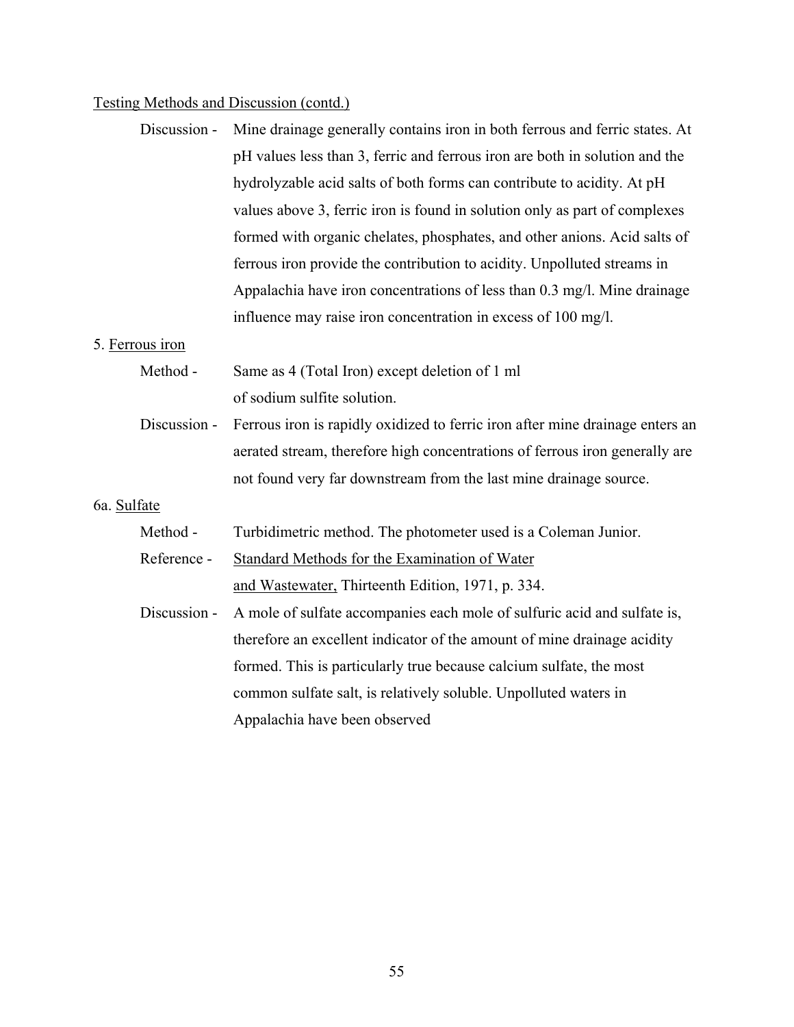Discussion - Mine drainage generally contains iron in both ferrous and ferric states. At pH values less than 3, ferric and ferrous iron are both in solution and the hydrolyzable acid salts of both forms can contribute to acidity. At pH values above 3, ferric iron is found in solution only as part of complexes formed with organic chelates, phosphates, and other anions. Acid salts of ferrous iron provide the contribution to acidity. Unpolluted streams in Appalachia have iron concentrations of less than 0.3 mg/l. Mine drainage influence may raise iron concentration in excess of 100 mg/l.

#### 5. Ferrous iron

- Method Same as 4 (Total Iron) except deletion of 1 ml of sodium sulfite solution.
- Discussion Ferrous iron is rapidly oxidized to ferric iron after mine drainage enters an aerated stream, therefore high concentrations of ferrous iron generally are not found very far downstream from the last mine drainage source.

#### 6a. Sulfate

Method - Turbidimetric method. The photometer used is a Coleman Junior.

Reference - Standard Methods for the Examination of Water and Wastewater, Thirteenth Edition, 1971, p. 334.

Discussion - A mole of sulfate accompanies each mole of sulfuric acid and sulfate is, therefore an excellent indicator of the amount of mine drainage acidity formed. This is particularly true because calcium sulfate, the most common sulfate salt, is relatively soluble. Unpolluted waters in Appalachia have been observed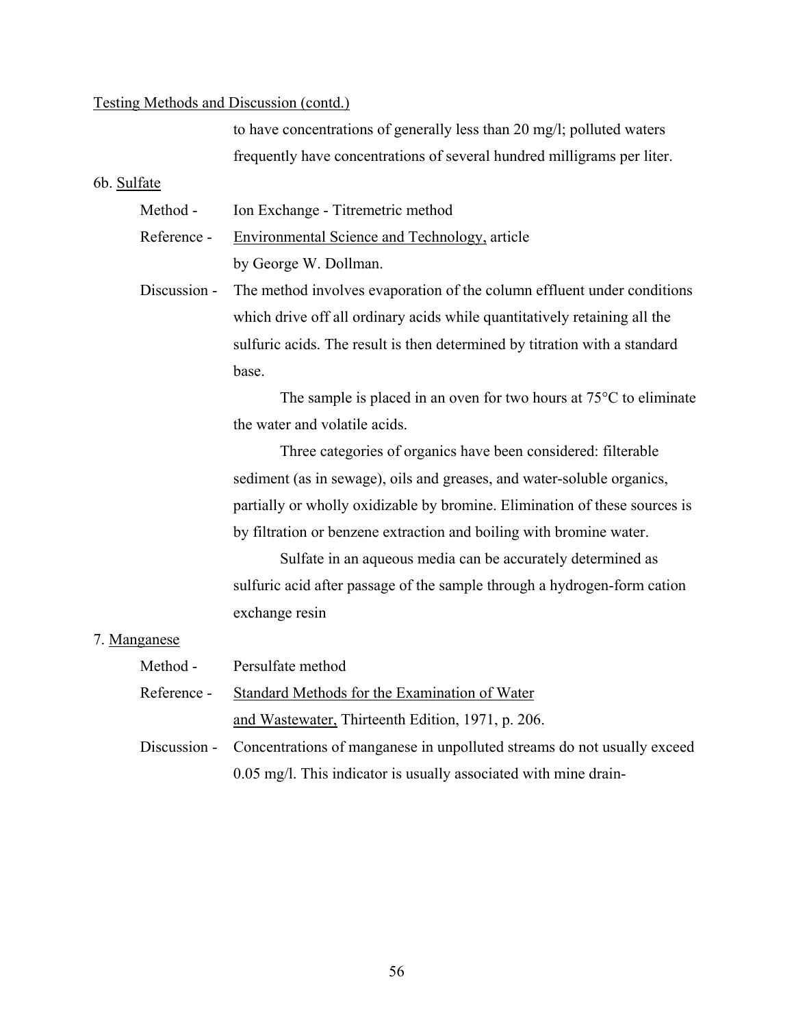to have concentrations of generally less than 20 mg/l; polluted waters frequently have concentrations of several hundred milligrams per liter.

6b. Sulfate

Method - Ion Exchange - Titremetric method

Reference - Environmental Science and Technology, article by George W. Dollman.

Discussion - The method involves evaporation of the column effluent under conditions which drive off all ordinary acids while quantitatively retaining all the sulfuric acids. The result is then determined by titration with a standard base.

> The sample is placed in an oven for two hours at 75°C to eliminate the water and volatile acids.

Three categories of organics have been considered: filterable sediment (as in sewage), oils and greases, and water-soluble organics, partially or wholly oxidizable by bromine. Elimination of these sources is by filtration or benzene extraction and boiling with bromine water.

Sulfate in an aqueous media can be accurately determined as sulfuric acid after passage of the sample through a hydrogen-form cation exchange resin

#### 7. Manganese

| Method -    | Persulfate method                                                                    |  |
|-------------|--------------------------------------------------------------------------------------|--|
| Reference - | Standard Methods for the Examination of Water                                        |  |
|             | and Wastewater, Thirteenth Edition, 1971, p. 206.                                    |  |
|             | Discussion - Concentrations of manganese in unpolluted streams do not usually exceed |  |
|             | 0.05 mg/l. This indicator is usually associated with mine drain-                     |  |